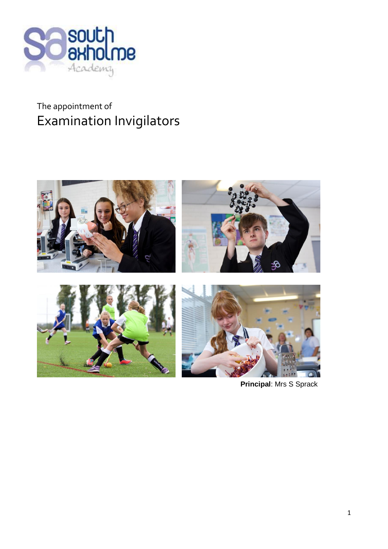

# The appointment of Examination Invigilators



**Principal**: Mrs S Sprack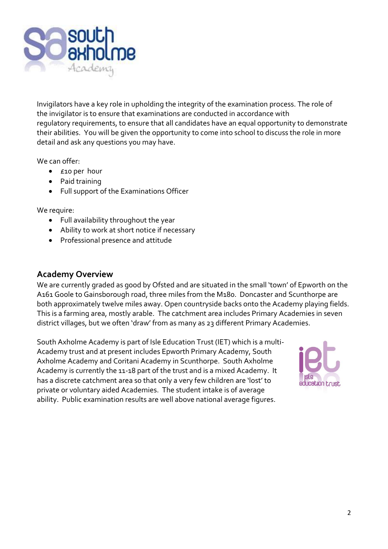

Invigilators have a key role in upholding the integrity of the examination process. The role of the invigilator is to ensure that examinations are conducted in accordance with regulatory requirements, to ensure that all candidates have an equal opportunity to demonstrate their abilities. You will be given the opportunity to come into school to discuss the role in more detail and ask any questions you may have.

We can offer:

- £10 per hour
- Paid training
- Full support of the Examinations Officer

We require:

- Full availability throughout the year
- Ability to work at short notice if necessary
- Professional presence and attitude

#### **Academy Overview**

We are currently graded as good by Ofsted and are situated in the small 'town' of Epworth on the A161 Goole to Gainsborough road, three miles from the M180. Doncaster and Scunthorpe are both approximately twelve miles away. Open countryside backs onto the Academy playing fields. This is a farming area, mostly arable. The catchment area includes Primary Academies in seven district villages, but we often 'draw' from as many as 23 different Primary Academies.

South Axholme Academy is part of Isle Education Trust (IET) which is a multi-Academy trust and at present includes Epworth Primary Academy, South Axholme Academy and Coritani Academy in Scunthorpe. South Axholme Academy is currently the 11-18 part of the trust and is a mixed Academy. It has a discrete catchment area so that only a very few children are 'lost' to private or voluntary aided Academies. The student intake is of average ability. Public examination results are well above national average figures.

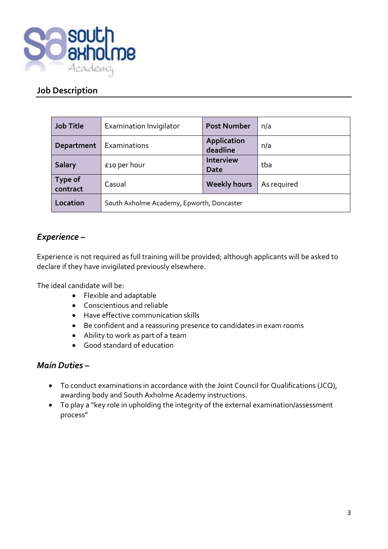

## **Job Description**

| <b>Job Title</b>    | <b>Examination Invigilator</b>            | <b>Post Number</b>             | n/a         |
|---------------------|-------------------------------------------|--------------------------------|-------------|
| Department          | Examinations                              | <b>Application</b><br>deadline | n/a         |
| <b>Salary</b>       | £10 per hour                              | <b>Interview</b><br>Date       | tba         |
| Type of<br>contract | Casual                                    | <b>Weekly hours</b>            | As required |
| Location            | South Axholme Academy, Epworth, Doncaster |                                |             |

# *Experience –*

Experience is not required as full training will be provided; although applicants will be asked to declare if they have invigilated previously elsewhere.

The ideal candidate will be:

- Flexible and adaptable
- Conscientious and reliable
- Have effective communication skills
- Be confident and a reassuring presence to candidates in exam rooms
- Ability to work as part of a team
- Good standard of education

## *Main Duties –*

- To conduct examinations in accordance with the Joint Council for Qualifications (JCQ), awarding body and South Axholme Academy instructions.
- To play a "key role in upholding the integrity of the external examination/assessment process"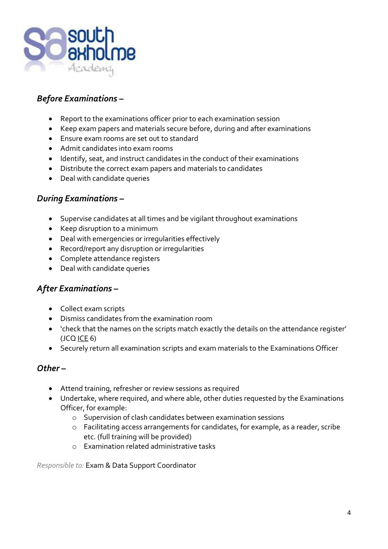

# *Before Examinations –*

- Report to the examinations officer prior to each examination session
- Keep exam papers and materials secure before, during and after examinations
- Ensure exam rooms are set out to standard
- Admit candidates into exam rooms
- Identify, seat, and instruct candidates in the conduct of their examinations
- Distribute the correct exam papers and materials to candidates
- Deal with candidate queries

#### *During Examinations –*

- Supervise candidates at all times and be vigilant throughout examinations
- Keep disruption to a minimum
- Deal with emergencies or irregularities effectively
- Record/report any disruption or irregularities
- Complete attendance registers
- Deal with candidate queries

### *After Examinations –*

- Collect exam scripts
- Dismiss candidates from the examination room
- 'check that the names on the scripts match exactly the details on the attendance register'  $(JCQ ICE 6)$
- Securely return all examination scripts and exam materials to the Examinations Officer

#### *Other –*

- Attend training, refresher or review sessions as required
- Undertake, where required, and where able, other duties requested by the Examinations Officer, for example:
	- o Supervision of clash candidates between examination sessions
	- o Facilitating access arrangements for candidates, for example, as a reader, scribe etc. (full training will be provided)
	- o Examination related administrative tasks

*Responsible to:* Exam & Data Support Coordinator